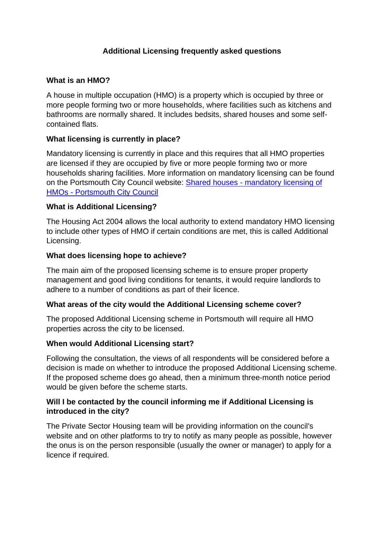# **Additional Licensing frequently asked questions**

### **What is an HMO?**

A house in multiple occupation (HMO) is a property which is occupied by three or more people forming two or more households, where facilities such as kitchens and bathrooms are normally shared. It includes bedsits, shared houses and some selfcontained flats.

### **What licensing is currently in place?**

Mandatory licensing is currently in place and this requires that all HMO properties are licensed if they are occupied by five or more people forming two or more households sharing facilities. More information on mandatory licensing can be found on the Portsmouth City Council website: Shared houses - [mandatory licensing of](https://www.portsmouth.gov.uk/services/housing/landlords/shared-houses-mandatory-licensing-of-hmos/)  HMOs - [Portsmouth City Council](https://www.portsmouth.gov.uk/services/housing/landlords/shared-houses-mandatory-licensing-of-hmos/)

#### **What is Additional Licensing?**

The Housing Act 2004 allows the local authority to extend mandatory HMO licensing to include other types of HMO if certain conditions are met, this is called Additional Licensing.

#### **What does licensing hope to achieve?**

The main aim of the proposed licensing scheme is to ensure proper property management and good living conditions for tenants, it would require landlords to adhere to a number of conditions as part of their licence.

#### **What areas of the city would the Additional Licensing scheme cover?**

The proposed Additional Licensing scheme in Portsmouth will require all HMO properties across the city to be licensed.

## **When would Additional Licensing start?**

Following the consultation, the views of all respondents will be considered before a decision is made on whether to introduce the proposed Additional Licensing scheme. If the proposed scheme does go ahead, then a minimum three-month notice period would be given before the scheme starts.

### **Will I be contacted by the council informing me if Additional Licensing is introduced in the city?**

The Private Sector Housing team will be providing information on the council's website and on other platforms to try to notify as many people as possible, however the onus is on the person responsible (usually the owner or manager) to apply for a licence if required.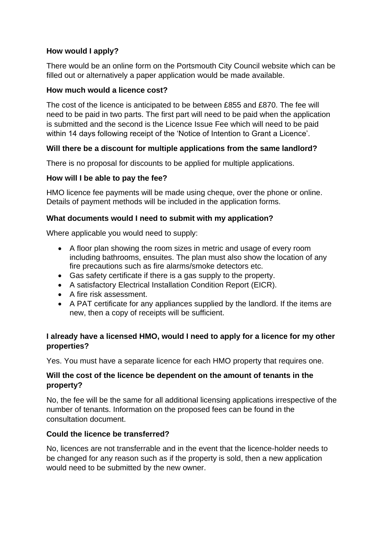## **How would I apply?**

There would be an online form on the Portsmouth City Council website which can be filled out or alternatively a paper application would be made available.

## **How much would a licence cost?**

The cost of the licence is anticipated to be between £855 and £870. The fee will need to be paid in two parts. The first part will need to be paid when the application is submitted and the second is the Licence Issue Fee which will need to be paid within 14 days following receipt of the 'Notice of Intention to Grant a Licence'.

# **Will there be a discount for multiple applications from the same landlord?**

There is no proposal for discounts to be applied for multiple applications.

# **How will I be able to pay the fee?**

HMO licence fee payments will be made using cheque, over the phone or online. Details of payment methods will be included in the application forms.

## **What documents would I need to submit with my application?**

Where applicable you would need to supply:

- A floor plan showing the room sizes in metric and usage of every room including bathrooms, ensuites. The plan must also show the location of any fire precautions such as fire alarms/smoke detectors etc.
- Gas safety certificate if there is a gas supply to the property.
- A satisfactory Electrical Installation Condition Report (EICR).
- A fire risk assessment.
- A PAT certificate for any appliances supplied by the landlord. If the items are new, then a copy of receipts will be sufficient.

# **I already have a licensed HMO, would I need to apply for a licence for my other properties?**

Yes. You must have a separate licence for each HMO property that requires one.

### **Will the cost of the licence be dependent on the amount of tenants in the property?**

No, the fee will be the same for all additional licensing applications irrespective of the number of tenants. Information on the proposed fees can be found in the consultation document.

## **Could the licence be transferred?**

No, licences are not transferrable and in the event that the licence-holder needs to be changed for any reason such as if the property is sold, then a new application would need to be submitted by the new owner.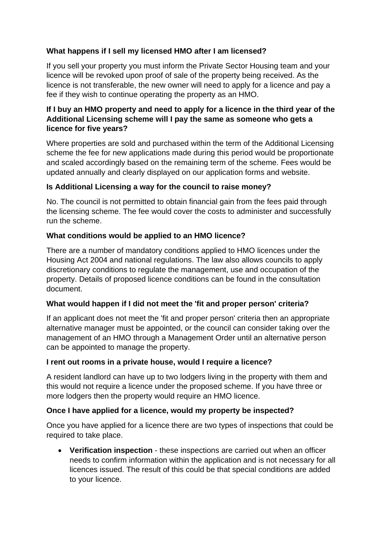# **What happens if I sell my licensed HMO after I am licensed?**

If you sell your property you must inform the Private Sector Housing team and your licence will be revoked upon proof of sale of the property being received. As the licence is not transferable, the new owner will need to apply for a licence and pay a fee if they wish to continue operating the property as an HMO.

## **If I buy an HMO property and need to apply for a licence in the third year of the Additional Licensing scheme will I pay the same as someone who gets a licence for five years?**

Where properties are sold and purchased within the term of the Additional Licensing scheme the fee for new applications made during this period would be proportionate and scaled accordingly based on the remaining term of the scheme. Fees would be updated annually and clearly displayed on our application forms and website.

## **Is Additional Licensing a way for the council to raise money?**

No. The council is not permitted to obtain financial gain from the fees paid through the licensing scheme. The fee would cover the costs to administer and successfully run the scheme.

### **What conditions would be applied to an HMO licence?**

There are a number of mandatory conditions applied to HMO licences under the Housing Act 2004 and national regulations. The law also allows councils to apply discretionary conditions to regulate the management, use and occupation of the property. Details of proposed licence conditions can be found in the consultation document.

#### **What would happen if I did not meet the 'fit and proper person' criteria?**

If an applicant does not meet the 'fit and proper person' criteria then an appropriate alternative manager must be appointed, or the council can consider taking over the management of an HMO through a Management Order until an alternative person can be appointed to manage the property.

#### **I rent out rooms in a private house, would I require a licence?**

A resident landlord can have up to two lodgers living in the property with them and this would not require a licence under the proposed scheme. If you have three or more lodgers then the property would require an HMO licence.

#### **Once I have applied for a licence, would my property be inspected?**

Once you have applied for a licence there are two types of inspections that could be required to take place.

• **Verification inspection** - these inspections are carried out when an officer needs to confirm information within the application and is not necessary for all licences issued. The result of this could be that special conditions are added to your licence.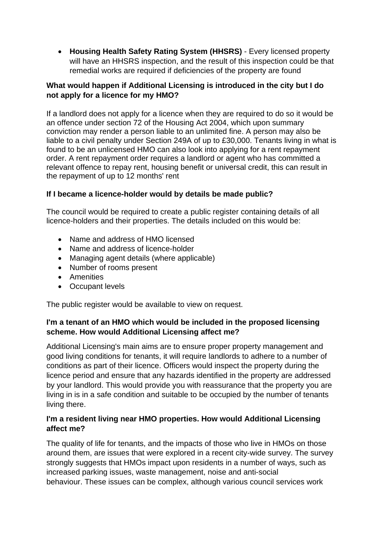• **Housing Health Safety Rating System (HHSRS)** - Every licensed property will have an HHSRS inspection, and the result of this inspection could be that remedial works are required if deficiencies of the property are found

## **What would happen if Additional Licensing is introduced in the city but I do not apply for a licence for my HMO?**

If a landlord does not apply for a licence when they are required to do so it would be an offence under section 72 of the Housing Act 2004, which upon summary conviction may render a person liable to an unlimited fine. A person may also be liable to a civil penalty under Section 249A of up to £30,000. Tenants living in what is found to be an unlicensed HMO can also look into applying for a rent repayment order. A rent repayment order requires a landlord or agent who has committed a relevant offence to repay rent, housing benefit or universal credit, this can result in the repayment of up to 12 months' rent

## **If I became a licence-holder would by details be made public?**

The council would be required to create a public register containing details of all licence-holders and their properties. The details included on this would be:

- Name and address of HMO licensed
- Name and address of licence-holder
- Managing agent details (where applicable)
- Number of rooms present
- Amenities
- Occupant levels

The public register would be available to view on request.

# **I'm a tenant of an HMO which would be included in the proposed licensing scheme. How would Additional Licensing affect me?**

Additional Licensing's main aims are to ensure proper property management and good living conditions for tenants, it will require landlords to adhere to a number of conditions as part of their licence. Officers would inspect the property during the licence period and ensure that any hazards identified in the property are addressed by your landlord. This would provide you with reassurance that the property you are living in is in a safe condition and suitable to be occupied by the number of tenants living there.

## **I'm a resident living near HMO properties. How would Additional Licensing affect me?**

The quality of life for tenants, and the impacts of those who live in HMOs on those around them, are issues that were explored in a recent city-wide survey. The survey strongly suggests that HMOs impact upon residents in a number of ways, such as increased parking issues, waste management, noise and anti-social behaviour. These issues can be complex, although various council services work